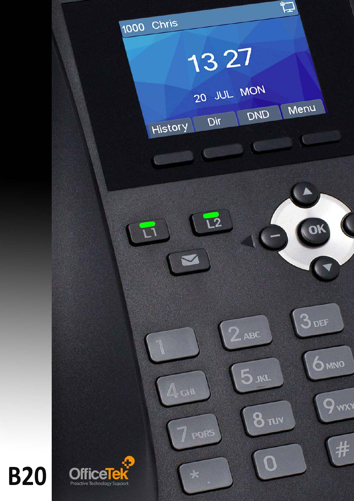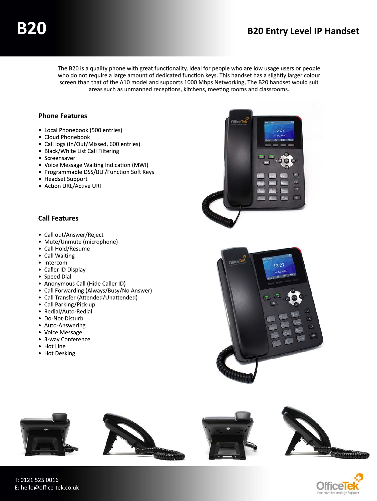The B20 is a quality phone with great functionality, ideal for people who are low usage users or people who do not require a large amount of dedicated function keys. This handset has a slightly larger colour screen than that of the A10 model and supports 1000 Mbps Networking, The B20 handset would suit areas such as unmanned receptions, kitchens, meeting rooms and classrooms.

#### **Phone Features**

- Local Phonebook (500 entries)
- Cloud Phonebook
- Call logs (In/Out/Missed, 600 entries)
- Black/White List Call Filtering
- Screensaver
- Voice Message Waiting Indication (MWI)
- Programmable DSS/BLF/Function Soft Keys
- Headset Support
- Action URL/Active URI

### **Call Features**

- Call out/Answer/Reject
- Mute/Unmute (microphone)
- Call Hold/Resume
- Call Waiting
- Intercom
- Caller ID Display
- Speed Dial
- Anonymous Call (Hide Caller ID)
- Call Forwarding (Always/Busy/No Answer)
- Call Transfer (Attended/Unattended)
- Call Parking/Pick-up
- Redial/Auto-Redial
- Do-Not-Disturb
- Auto-Answering
- Voice Message
- 3-way Conference
- Hot Line
- Hot Desking